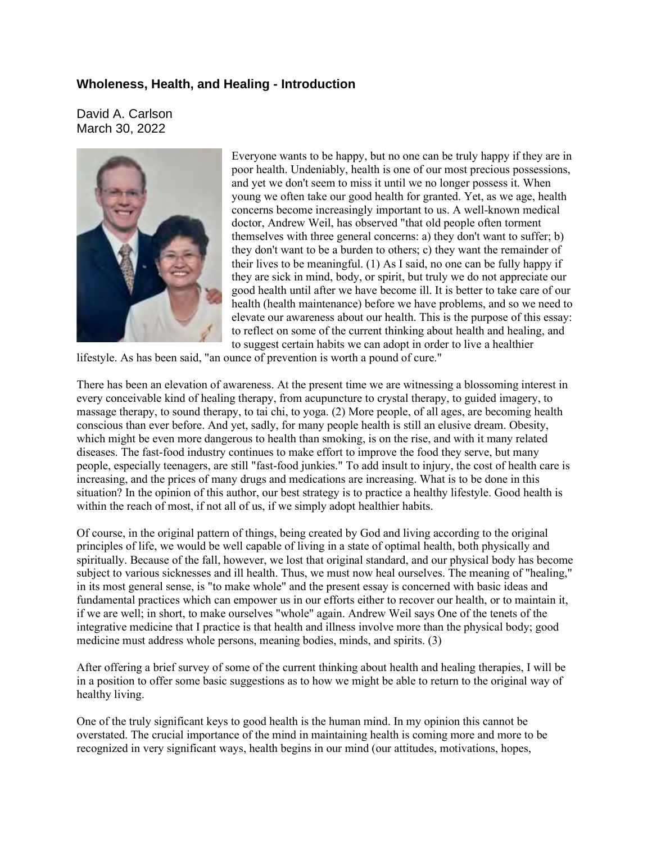## **Wholeness, Health, and Healing - Introduction**

David A. Carlson March 30, 2022



Everyone wants to be happy, but no one can be truly happy if they are in poor health. Undeniably, health is one of our most precious possessions, and yet we don't seem to miss it until we no longer possess it. When young we often take our good health for granted. Yet, as we age, health concerns become increasingly important to us. A well-known medical doctor, Andrew Weil, has observed "that old people often torment themselves with three general concerns: a) they don't want to suffer; b) they don't want to be a burden to others; c) they want the remainder of their lives to be meaningful. (1) As I said, no one can be fully happy if they are sick in mind, body, or spirit, but truly we do not appreciate our good health until after we have become ill. It is better to take care of our health (health maintenance) before we have problems, and so we need to elevate our awareness about our health. This is the purpose of this essay: to reflect on some of the current thinking about health and healing, and to suggest certain habits we can adopt in order to live a healthier

lifestyle. As has been said, "an ounce of prevention is worth a pound of cure."

There has been an elevation of awareness. At the present time we are witnessing a blossoming interest in every conceivable kind of healing therapy, from acupuncture to crystal therapy, to guided imagery, to massage therapy, to sound therapy, to tai chi, to yoga. (2) More people, of all ages, are becoming health conscious than ever before. And yet, sadly, for many people health is still an elusive dream. Obesity, which might be even more dangerous to health than smoking, is on the rise, and with it many related diseases. The fast-food industry continues to make effort to improve the food they serve, but many people, especially teenagers, are still "fast-food junkies." To add insult to injury, the cost of health care is increasing, and the prices of many drugs and medications are increasing. What is to be done in this situation? In the opinion of this author, our best strategy is to practice a healthy lifestyle. Good health is within the reach of most, if not all of us, if we simply adopt healthier habits.

Of course, in the original pattern of things, being created by God and living according to the original principles of life, we would be well capable of living in a state of optimal health, both physically and spiritually. Because of the fall, however, we lost that original standard, and our physical body has become subject to various sicknesses and ill health. Thus, we must now heal ourselves. The meaning of "healing," in its most general sense, is "to make whole" and the present essay is concerned with basic ideas and fundamental practices which can empower us in our efforts either to recover our health, or to maintain it, if we are well; in short, to make ourselves "whole" again. Andrew Weil says One of the tenets of the integrative medicine that I practice is that health and illness involve more than the physical body; good medicine must address whole persons, meaning bodies, minds, and spirits. (3)

After offering a brief survey of some of the current thinking about health and healing therapies, I will be in a position to offer some basic suggestions as to how we might be able to return to the original way of healthy living.

One of the truly significant keys to good health is the human mind. In my opinion this cannot be overstated. The crucial importance of the mind in maintaining health is coming more and more to be recognized in very significant ways, health begins in our mind (our attitudes, motivations, hopes,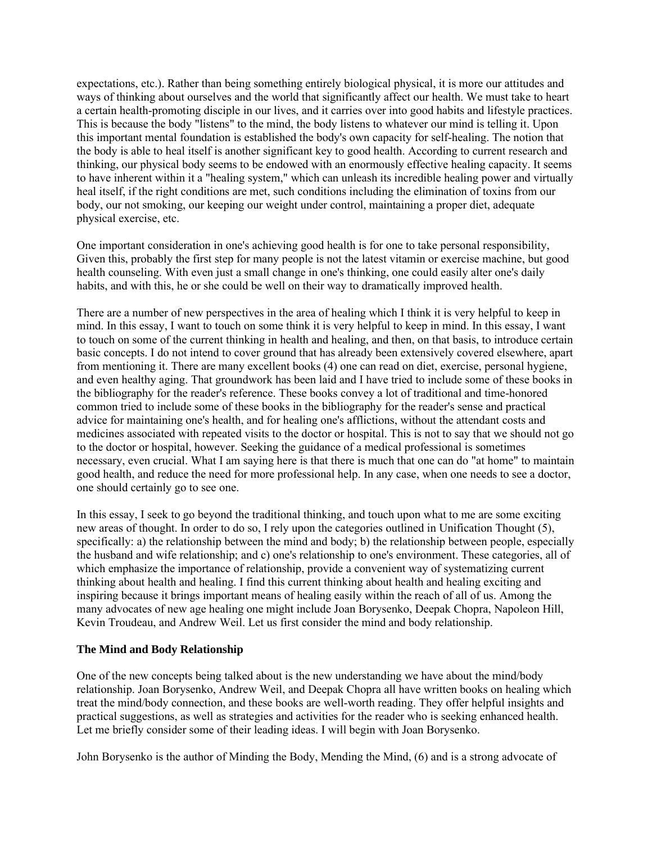expectations, etc.). Rather than being something entirely biological physical, it is more our attitudes and ways of thinking about ourselves and the world that significantly affect our health. We must take to heart a certain health-promoting disciple in our lives, and it carries over into good habits and lifestyle practices. This is because the body "listens" to the mind, the body listens to whatever our mind is telling it. Upon this important mental foundation is established the body's own capacity for self-healing. The notion that the body is able to heal itself is another significant key to good health. According to current research and thinking, our physical body seems to be endowed with an enormously effective healing capacity. It seems to have inherent within it a "healing system," which can unleash its incredible healing power and virtually heal itself, if the right conditions are met, such conditions including the elimination of toxins from our body, our not smoking, our keeping our weight under control, maintaining a proper diet, adequate physical exercise, etc.

One important consideration in one's achieving good health is for one to take personal responsibility, Given this, probably the first step for many people is not the latest vitamin or exercise machine, but good health counseling. With even just a small change in one's thinking, one could easily alter one's daily habits, and with this, he or she could be well on their way to dramatically improved health.

There are a number of new perspectives in the area of healing which I think it is very helpful to keep in mind. In this essay, I want to touch on some think it is very helpful to keep in mind. In this essay, I want to touch on some of the current thinking in health and healing, and then, on that basis, to introduce certain basic concepts. I do not intend to cover ground that has already been extensively covered elsewhere, apart from mentioning it. There are many excellent books (4) one can read on diet, exercise, personal hygiene, and even healthy aging. That groundwork has been laid and I have tried to include some of these books in the bibliography for the reader's reference. These books convey a lot of traditional and time-honored common tried to include some of these books in the bibliography for the reader's sense and practical advice for maintaining one's health, and for healing one's afflictions, without the attendant costs and medicines associated with repeated visits to the doctor or hospital. This is not to say that we should not go to the doctor or hospital, however. Seeking the guidance of a medical professional is sometimes necessary, even crucial. What I am saying here is that there is much that one can do "at home" to maintain good health, and reduce the need for more professional help. In any case, when one needs to see a doctor, one should certainly go to see one.

In this essay, I seek to go beyond the traditional thinking, and touch upon what to me are some exciting new areas of thought. In order to do so, I rely upon the categories outlined in Unification Thought (5), specifically: a) the relationship between the mind and body; b) the relationship between people, especially the husband and wife relationship; and c) one's relationship to one's environment. These categories, all of which emphasize the importance of relationship, provide a convenient way of systematizing current thinking about health and healing. I find this current thinking about health and healing exciting and inspiring because it brings important means of healing easily within the reach of all of us. Among the many advocates of new age healing one might include Joan Borysenko, Deepak Chopra, Napoleon Hill, Kevin Troudeau, and Andrew Weil. Let us first consider the mind and body relationship.

## **The Mind and Body Relationship**

One of the new concepts being talked about is the new understanding we have about the mind/body relationship. Joan Borysenko, Andrew Weil, and Deepak Chopra all have written books on healing which treat the mind/body connection, and these books are well-worth reading. They offer helpful insights and practical suggestions, as well as strategies and activities for the reader who is seeking enhanced health. Let me briefly consider some of their leading ideas. I will begin with Joan Borysenko.

John Borysenko is the author of Minding the Body, Mending the Mind, (6) and is a strong advocate of